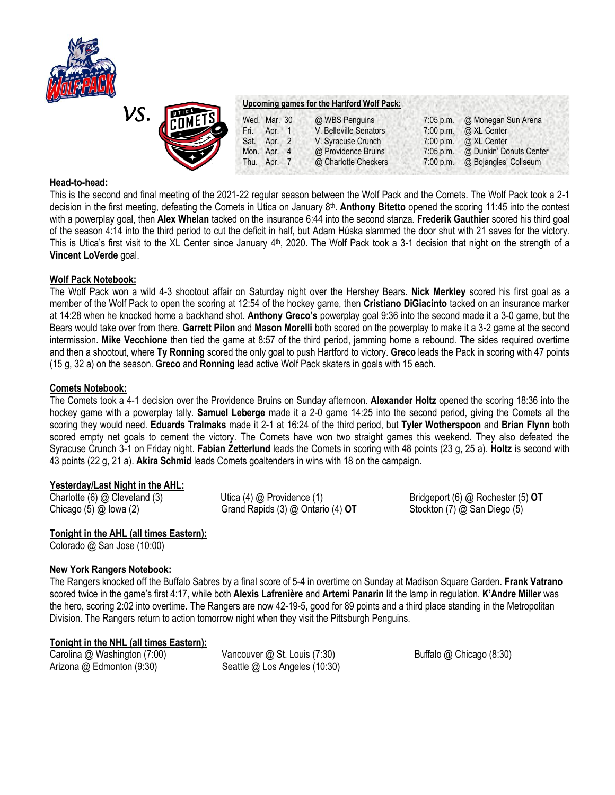



#### **Upcoming games for the Hartford Wolf Pack:**

| <b>UMETS</b><br>Wed. Mar. 30 | @ WBS Penguins         | $7:05$ p.m. | @ Mohegan Sun Arena     |
|------------------------------|------------------------|-------------|-------------------------|
| Fri.<br>Apr. 1               | V. Belleville Senators | 7:00 p.m.   | @ XL Center             |
| Sat.<br>Apr. $2$             | V. Syracuse Crunch     | 7:00 p.m.   | @ XL Center             |
| Mon. Apr. 4                  | @ Providence Bruins    | $7:05$ p.m. | @ Dunkin' Donuts Center |
| Thu. Apr. 7                  | @ Charlotte Checkers   | 7:00 p.m.   | @ Bojangles' Coliseum   |

### **Head-to-head:**

This is the second and final meeting of the 2021-22 regular season between the Wolf Pack and the Comets. The Wolf Pack took a 2-1 decision in the first meeting, defeating the Comets in Utica on January 8<sup>th</sup>. Anthony Bitetto opened the scoring 11:45 into the contest with a powerplay goal, then **Alex Whelan** tacked on the insurance 6:44 into the second stanza. **Frederik Gauthier** scored his third goal of the season 4:14 into the third period to cut the deficit in half, but Adam Húska slammed the door shut with 21 saves for the victory. This is Utica's first visit to the XL Center since January 4<sup>th</sup>, 2020. The Wolf Pack took a 3-1 decision that night on the strength of a **Vincent LoVerde** goal.

# **Wolf Pack Notebook:**

The Wolf Pack won a wild 4-3 shootout affair on Saturday night over the Hershey Bears. **Nick Merkley** scored his first goal as a member of the Wolf Pack to open the scoring at 12:54 of the hockey game, then **Cristiano DiGiacinto** tacked on an insurance marker at 14:28 when he knocked home a backhand shot. **Anthony Greco's** powerplay goal 9:36 into the second made it a 3-0 game, but the Bears would take over from there. **Garrett Pilon** and **Mason Morelli** both scored on the powerplay to make it a 3-2 game at the second intermission. **Mike Vecchione** then tied the game at 8:57 of the third period, jamming home a rebound. The sides required overtime and then a shootout, where **Ty Ronning** scored the only goal to push Hartford to victory. **Greco** leads the Pack in scoring with 47 points (15 g, 32 a) on the season. **Greco** and **Ronning** lead active Wolf Pack skaters in goals with 15 each.

# **Comets Notebook:**

The Comets took a 4-1 decision over the Providence Bruins on Sunday afternoon. **Alexander Holtz** opened the scoring 18:36 into the hockey game with a powerplay tally. **Samuel Leberge** made it a 2-0 game 14:25 into the second period, giving the Comets all the scoring they would need. **Eduards Tralmaks** made it 2-1 at 16:24 of the third period, but **Tyler Wotherspoon** and **Brian Flynn** both scored empty net goals to cement the victory. The Comets have won two straight games this weekend. They also defeated the Syracuse Crunch 3-1 on Friday night. **Fabian Zetterlund** leads the Comets in scoring with 48 points (23 g, 25 a). **Holtz** is second with 43 points (22 g, 21 a). **Akira Schmid** leads Comets goaltenders in wins with 18 on the campaign.

### **Yesterday/Last Night in the AHL:**

Charlotte (6) @ Cleveland (3) Utica (4) @ Providence (1) Bridgeport (6) @ Rochester (5) **OT** Chicago (5) @ Iowa (2) Grand Rapids (3) @ Ontario (4) **OT** Stockton (7) @ San Diego (5)

# **Tonight in the AHL (all times Eastern):**

Colorado @ San Jose (10:00)

# **New York Rangers Notebook:**

The Rangers knocked off the Buffalo Sabres by a final score of 5-4 in overtime on Sunday at Madison Square Garden. **Frank Vatrano**  scored twice in the game's first 4:17, while both **Alexis Lafrenière** and **Artemi Panarin** lit the lamp in regulation. **K'Andre Miller** was the hero, scoring 2:02 into overtime. The Rangers are now 42-19-5, good for 89 points and a third place standing in the Metropolitan Division. The Rangers return to action tomorrow night when they visit the Pittsburgh Penguins.

# **Tonight in the NHL (all times Eastern):**

Carolina @ Washington (7:00) Vancouver @ St. Louis (7:30) Buffalo @ Chicago (8:30) Arizona @ Edmonton (9:30) Seattle @ Los Angeles (10:30)